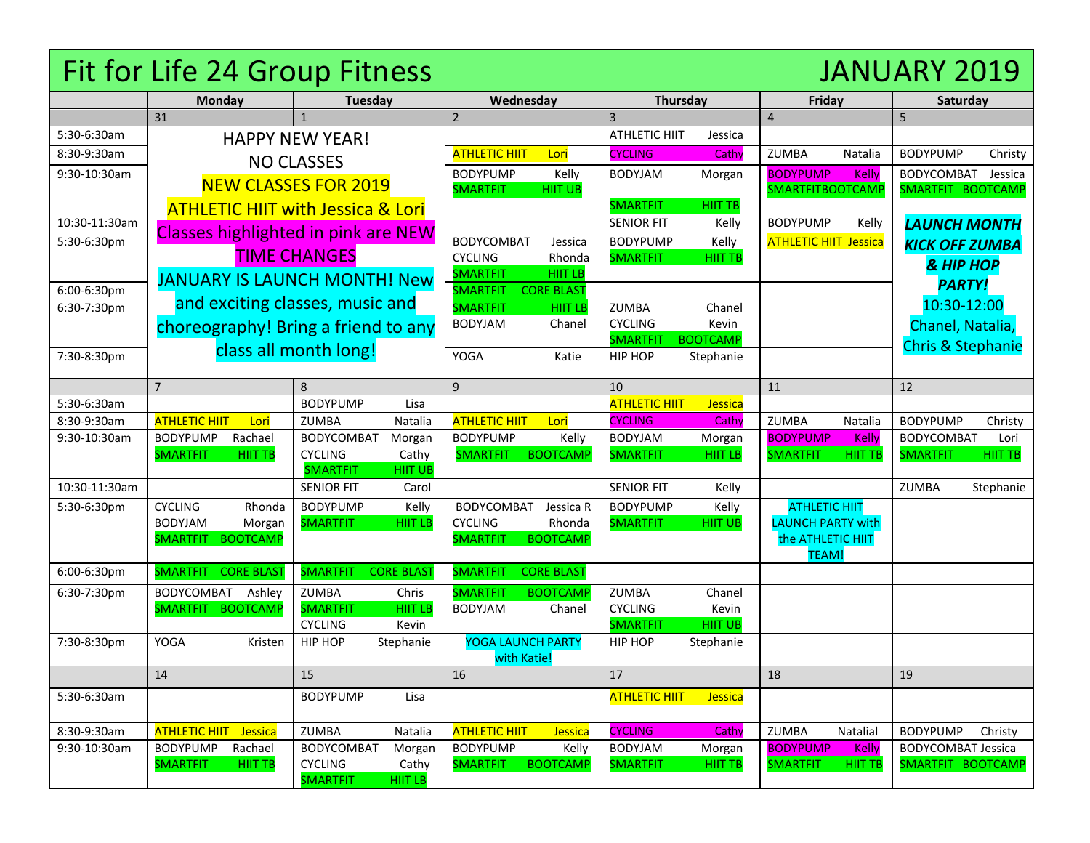## Fit for Life 24 Group Fitness JANUARY 2019

|                             | <b>Monday</b>                                                 | <b>Tuesday</b>                       |                         | Wednesday                               |                          | Thursday                          |                          | Friday                             |                                | Saturday                                     |                |
|-----------------------------|---------------------------------------------------------------|--------------------------------------|-------------------------|-----------------------------------------|--------------------------|-----------------------------------|--------------------------|------------------------------------|--------------------------------|----------------------------------------------|----------------|
|                             | 31                                                            | $\mathbf{1}$                         |                         | $\overline{2}$                          |                          | 3                                 |                          | $\overline{4}$                     |                                | 5                                            |                |
| 5:30-6:30am                 | <b>HAPPY NEW YEAR!</b>                                        |                                      |                         |                                         |                          | <b>ATHLETIC HIIT</b>              | Jessica                  |                                    |                                |                                              |                |
| 8:30-9:30am                 |                                                               | <b>NO CLASSES</b>                    |                         | <b>ATHLETIC HIIT</b>                    | Lori                     | <b>CYCLING</b>                    | Cathy                    | ZUMBA                              | Natalia                        | <b>BODYPUMP</b>                              | Christy        |
| 9:30-10:30am                |                                                               |                                      |                         | <b>BODYPUMP</b>                         | Kelly                    | <b>BODYJAM</b>                    | Morgan                   | <b>BODYPUMP</b>                    | Kelly                          | BODYCOMBAT                                   | Jessica        |
|                             |                                                               | <b>NEW CLASSES FOR 2019</b>          |                         | <b>SMARTFIT</b>                         | <b>HIIT UB</b>           |                                   |                          | <b>SMARTFITBOOTCAMP</b>            |                                | SMARTFIT BOOTCAMP                            |                |
|                             | <b>ATHLETIC HIIT with Jessica &amp; Lori</b>                  |                                      |                         |                                         |                          | <b>SMARTFIT</b>                   | HIIT TB                  |                                    |                                |                                              |                |
| 10:30-11:30am               | <b>Classes highlighted in pink are NEW</b>                    |                                      |                         |                                         |                          | <b>SENIOR FIT</b>                 | Kelly                    | <b>BODYPUMP</b>                    | Kelly                          | <b>LAUNCH MONTH</b>                          |                |
| 5:30-6:30pm                 | <b>TIME CHANGES</b>                                           |                                      |                         | <b>BODYCOMBAT</b>                       | Jessica                  | <b>BODYPUMP</b>                   | Kelly                    | <b>ATHLETIC HIIT Jessica</b>       |                                | <b>KICK OFF ZUMBA</b>                        |                |
|                             |                                                               |                                      |                         | <b>CYCLING</b><br><b>SMARTFIT</b>       | Rhonda<br><b>HIIT LB</b> | <b>SMARTFIT</b>                   | <b>HIIT TB</b>           |                                    |                                | & HIP HOP                                    |                |
| 6:00-6:30pm                 | <b>JANUARY IS LAUNCH MONTH! New</b>                           |                                      | <b>SMARTFIT</b>         | <b>CORE BLAST</b>                       |                          |                                   |                          |                                    |                                | <b>PARTY!</b>                                |                |
| 6:30-7:30pm                 | and exciting classes, music and                               |                                      |                         | <b>SMARTFIT</b>                         | <b>HIIT LB</b>           | <b>ZUMBA</b>                      | Chanel                   |                                    |                                | 10:30-12:00                                  |                |
|                             | choreography! Bring a friend to any                           |                                      |                         | <b>BODYJAM</b>                          | Chanel                   | <b>CYCLING</b>                    | Kevin                    |                                    |                                | Chanel, Natalia,                             |                |
|                             |                                                               |                                      |                         |                                         |                          | <b>SMARTFIT</b>                   | <b>BOOTCAMP</b>          |                                    |                                | <b>Chris &amp; Stephanie</b>                 |                |
| 7:30-8:30pm                 | class all month long!                                         |                                      |                         | YOGA                                    | Katie                    | <b>HIP HOP</b>                    | Stephanie                |                                    |                                |                                              |                |
|                             |                                                               |                                      |                         |                                         |                          |                                   |                          |                                    |                                |                                              |                |
|                             | $\overline{7}$                                                | 8                                    |                         | 9                                       |                          | 10                                |                          | 11                                 |                                | 12                                           |                |
| 5:30-6:30am                 |                                                               | <b>BODYPUMP</b>                      | Lisa                    |                                         |                          | <b>ATHLETIC HIIT</b>              | <b>Jessica</b>           |                                    |                                |                                              |                |
| 8:30-9:30am                 | <b>ATHLETIC HIIT</b><br>Lori                                  | <b>ZUMBA</b>                         | Natalia                 | <b>ATHLETIC HIIT</b>                    | Lori                     | <b>CYCLING</b>                    | Cathy                    | ZUMBA                              | Natalia                        | <b>BODYPUMP</b>                              | Christy        |
| 9:30-10:30am                | <b>BODYPUMP</b><br>Rachael<br><b>SMARTFIT</b>                 | <b>BODYCOMBAT</b>                    | Morgan                  | <b>BODYPUMP</b>                         | Kelly<br><b>BOOTCAMP</b> | <b>BODYJAM</b><br><b>SMARTFIT</b> | Morgan                   | <b>BODYPUMP</b><br><b>SMARTFIT</b> | <b>Kelly</b><br><b>HIIT TB</b> | <b>BODYCOMBAT</b><br><b>SMARTFIT</b>         | Lori           |
|                             | <b>HIIT TB</b>                                                | <b>CYCLING</b><br><b>SMARTFIT</b>    | Cathy<br><b>HIIT UB</b> | <b>SMARTFIT</b>                         |                          |                                   | <b>HIIT LB</b>           |                                    |                                |                                              | <b>HIIT TB</b> |
| 10:30-11:30am               |                                                               | <b>SENIOR FIT</b>                    | Carol                   |                                         |                          | <b>SENIOR FIT</b>                 | Kelly                    |                                    |                                | <b>ZUMBA</b>                                 | Stephanie      |
| 5:30-6:30pm                 | <b>CYCLING</b><br>Rhonda                                      | <b>BODYPUMP</b>                      | Kelly                   | <b>BODYCOMBAT</b>                       | Jessica R                | <b>BODYPUMP</b>                   | Kelly                    | <b>ATHLETIC HIIT</b>               |                                |                                              |                |
|                             | <b>BODYJAM</b><br>Morgan                                      | <b>SMARTFIT</b>                      | <b>HIIT LB</b>          | <b>CYCLING</b>                          | Rhonda                   | <b>SMARTFIT</b>                   | <b>HIIT UB</b>           | <b>LAUNCH PARTY with</b>           |                                |                                              |                |
|                             | <b>BOOTCAMP</b><br><b>SMARTFIT</b>                            |                                      |                         | <b>SMARTFIT</b>                         | <b>BOOTCAMP</b>          |                                   |                          | the ATHLETIC HIIT                  |                                |                                              |                |
|                             |                                                               |                                      |                         |                                         |                          |                                   |                          | <b>TEAM!</b>                       |                                |                                              |                |
| 6:00-6:30pm                 | <b>SMARTFIT</b><br><b>CORE BLAST</b>                          | <b>SMARTFIT</b><br><b>CORE BLAST</b> |                         | <b>SMARTFIT</b>                         | <b>CORE BLAST</b>        |                                   |                          |                                    |                                |                                              |                |
| 6:30-7:30pm                 | BODYCOMBAT Ashley                                             | <b>ZUMBA</b>                         | Chris                   | <b>SMARTFIT</b>                         | <b>BOOTCAMP</b>          | <b>ZUMBA</b>                      | Chanel                   |                                    |                                |                                              |                |
|                             | SMARTFIT BOOTCAMP                                             | <b>SMARTFIT</b>                      | <b>HIIT LB</b>          | <b>BODYJAM</b>                          | Chanel                   | <b>CYCLING</b>                    | Kevin                    |                                    |                                |                                              |                |
|                             |                                                               | <b>CYCLING</b>                       | Kevin                   |                                         |                          | <b>SMARTFIT</b>                   | <b>HIIT UB</b>           |                                    |                                |                                              |                |
| 7:30-8:30pm                 | YOGA<br>Kristen                                               | HIP HOP<br>Stephanie                 |                         | <b>YOGA LAUNCH PARTY</b>                |                          | HIP HOP                           | Stephanie                |                                    |                                |                                              |                |
|                             | 14                                                            | 15                                   |                         | with Katie!<br>16                       |                          | 17                                |                          | 18                                 |                                | 19                                           |                |
|                             |                                                               |                                      |                         |                                         |                          |                                   |                          |                                    |                                |                                              |                |
| 5:30-6:30am                 |                                                               | <b>BODYPUMP</b>                      | Lisa                    |                                         |                          | <b>ATHLETIC HIIT</b>              | <b>Jessica</b>           |                                    |                                |                                              |                |
|                             |                                                               |                                      |                         |                                         |                          | <b>CYCLING</b>                    |                          |                                    |                                |                                              |                |
| 8:30-9:30am<br>9:30-10:30am | <b>ATHLETIC HIIT</b><br>Jessica<br><b>BODYPUMP</b><br>Rachael | ZUMBA<br><b>BODYCOMBAT</b>           | Natalia                 | <b>ATHLETIC HIIT</b><br><b>BODYPUMP</b> | Jessica<br>Kelly         | <b>BODYJAM</b>                    | Cathy                    | ZUMBA<br><b>BODYPUMP</b>           | Natalial<br>Kelly              | <b>BODYPUMP</b><br><b>BODYCOMBAT Jessica</b> | Christy        |
|                             | <b>SMARTFIT</b><br><b>HIIT TB</b>                             | <b>CYCLING</b>                       | Morgan<br>Cathy         | <b>SMARTFIT</b>                         | <b>BOOTCAMP</b>          | <b>SMARTFIT</b>                   | Morgan<br><b>HIIT TB</b> | <b>SMARTFIT</b>                    | HIIT TB                        | SMARTFIT BOOTCAMP                            |                |
|                             |                                                               | <b>SMARTFIT</b><br><b>HIIT LB</b>    |                         |                                         |                          |                                   |                          |                                    |                                |                                              |                |